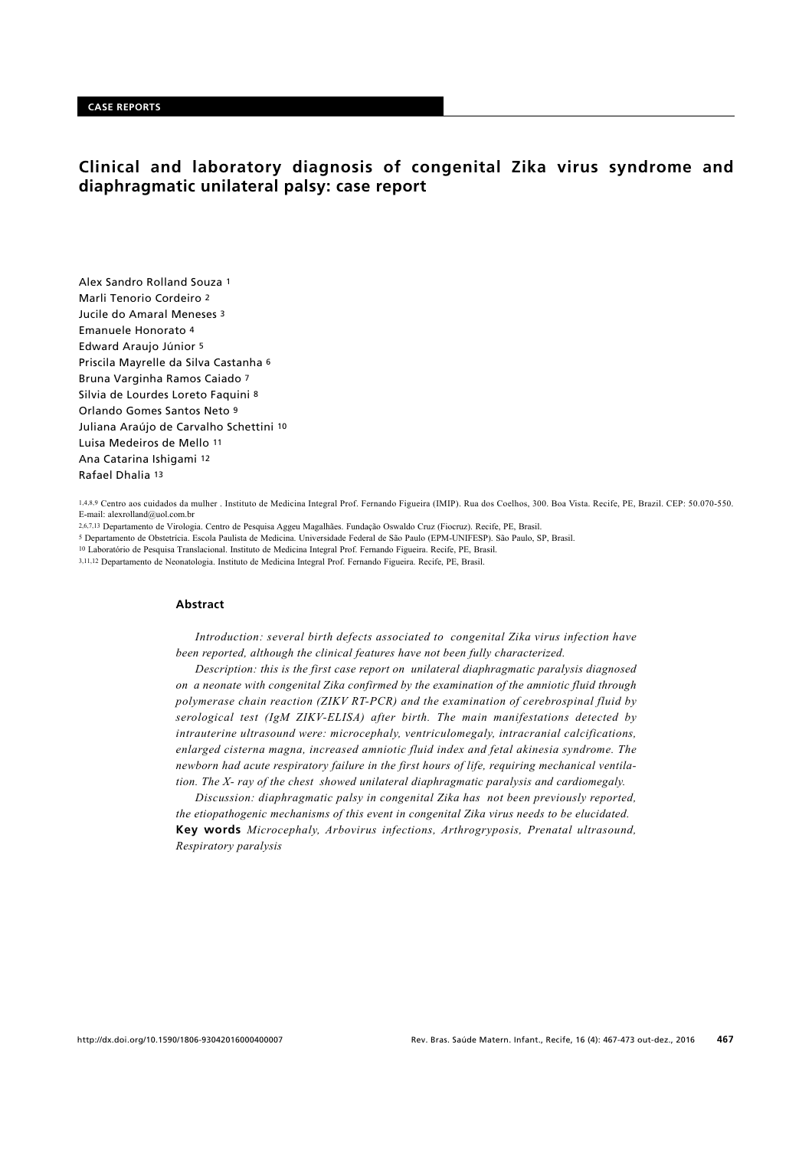# **Clinical and laboratory diagnosis of congenital Zika virus syndrome and diaphragmatic unilateral palsy: case report**

Alex Sandro Rolland Souza 1 Marli Tenorio Cordeiro 2 Jucile do Amaral Meneses 3 Emanuele Honorato 4 Edward Araujo Júnior 5 Priscila Mayrelle da Silva Castanha 6 Bruna Varginha Ramos Caiado 7 Silvia de Lourdes Loreto Faquini 8 Orlando Gomes Santos Neto 9 Juliana Araújo de Carvalho Schettini 10 Luisa Medeiros de Mello 11 Ana Catarina Ishigami 12 Rafael Dhalia 13

1,4,8,9 Centro aos cuidados da mulher . Instituto de Medicina Integral Prof. Fernando Figueira (IMIP). Rua dos Coelhos, 300. Boa Vista. Recife, PE, Brazil. CEP: 50.070-550. E-mail: alexrolland@uol.com.br

2,6,7,13 Departamento de Virologia. Centro de Pesquisa Aggeu Magalhães. Fundação Oswaldo Cruz (Fiocruz). Recife, PE, Brasil.

5 Departamento de Obstetrícia. Escola Paulista de Medicina. Universidade Federal de São Paulo (EPM-UNIFESP). São Paulo, SP, Brasil.

10 Laboratório de Pesquisa Translacional. Instituto de Medicina Integral Prof. Fernando Figueira. Recife, PE, Brasil.

3,11,12 Departamento de Neonatologia. Instituto de Medicina Integral Prof. Fernando Figueira. Recife, PE, Brasil.

### **Abstract**

*Introduction: several birth defects associated to congenital Zika virus infection have been reported, although the clinical features have not been fully characterized.*

*Description: this is the first case report on unilateral diaphragmatic paralysis diagnosed on a neonate with congenital Zika confirmed by the examination of the amniotic fluid through polymerase chain reaction (ZIKV RT-PCR) and the examination of cerebrospinal fluid by serological test (IgM ZIKV-ELISA) after birth. The main manifestations detected by intrauterine ultrasound were: microcephaly, ventriculomegaly, intracranial calcifications, enlarged cisterna magna, increased amniotic fluid index and fetal akinesia syndrome. The newborn had acute respiratory failure in the first hours of life, requiring mechanical ventilation. The X- ray of the chest showed unilateral diaphragmatic paralysis and cardiomegaly.*

*Discussion: diaphragmatic palsy in congenital Zika has not been previously reported, the etiopathogenic mechanisms of this event in congenital Zika virus needs to be elucidated.* **Key words** *Microcephaly, Arbovirus infections, Arthrogryposis, Prenatal ultrasound, Respiratory paralysis*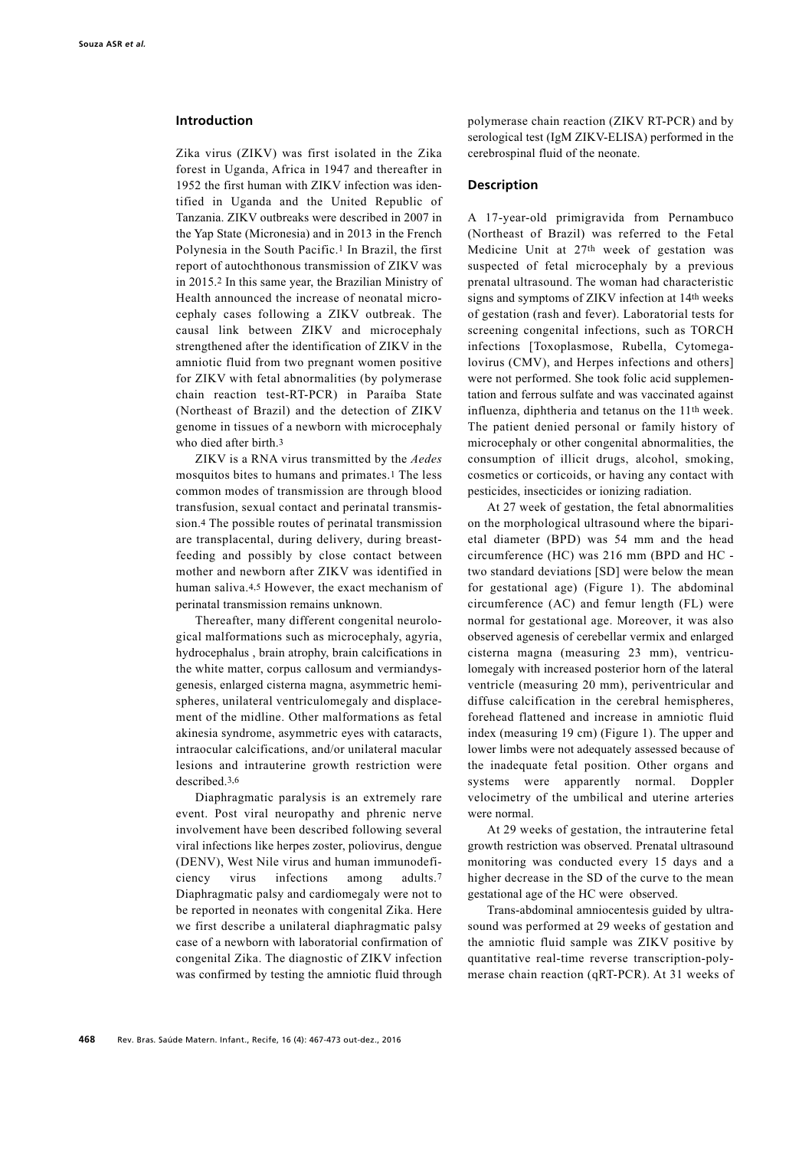## **Introduction**

Zika virus (ZIKV) was first isolated in the Zika forest in Uganda, Africa in 1947 and thereafter in 1952 the first human with ZIKV infection was identified in Uganda and the United Republic of Tanzania. ZIKV outbreaks were described in 2007 in the Yap State (Micronesia) and in 2013 in the French Polynesia in the South Pacific.1 In Brazil, the first report of autochthonous transmission of ZIKV was in 2015.2 In this same year, the Brazilian Ministry of Health announced the increase of neonatal microcephaly cases following a ZIKV outbreak. The causal link between ZIKV and microcephaly strengthened after the identification of ZIKV in the amniotic fluid from two pregnant women positive for ZIKV with fetal abnormalities (by polymerase chain reaction test-RT-PCR) in Paraíba State (Northeast of Brazil) and the detection of ZIKV genome in tissues of a newborn with microcephaly who died after birth.3

ZIKV is a RNA virus transmitted by the *Aedes* mosquitos bites to humans and primates.1 The less common modes of transmission are through blood transfusion, sexual contact and perinatal transmission.4 The possible routes of perinatal transmission are transplacental, during delivery, during breastfeeding and possibly by close contact between mother and newborn after ZIKV was identified in human saliva.4,5 However, the exact mechanism of perinatal transmission remains unknown.

Thereafter, many different congenital neurological malformations such as microcephaly, agyria, hydrocephalus , brain atrophy, brain calcifications in the white matter, corpus callosum and vermiandysgenesis, enlarged cisterna magna, asymmetric hemispheres, unilateral ventriculomegaly and displacement of the midline. Other malformations as fetal akinesia syndrome, asymmetric eyes with cataracts, intraocular calcifications, and/or unilateral macular lesions and intrauterine growth restriction were described.3,6

Diaphragmatic paralysis is an extremely rare event. Post viral neuropathy and phrenic nerve involvement have been described following several viral infections like herpes zoster, poliovirus, dengue (DENV), West Nile virus and human immunodeficiency virus infections among adults.7 Diaphragmatic palsy and cardiomegaly were not to be reported in neonates with congenital Zika. Here we first describe a unilateral diaphragmatic palsy case of a newborn with laboratorial confirmation of congenital Zika. The diagnostic of ZIKV infection was confirmed by testing the amniotic fluid through polymerase chain reaction (ZIKV RT-PCR) and by serological test (IgM ZIKV-ELISA) performed in the cerebrospinal fluid of the neonate.

## **Description**

A 17-year-old primigravida from Pernambuco (Northeast of Brazil) was referred to the Fetal Medicine Unit at 27th week of gestation was suspected of fetal microcephaly by a previous prenatal ultrasound. The woman had characteristic signs and symptoms of ZIKV infection at 14th weeks of gestation (rash and fever). Laboratorial tests for screening congenital infections, such as TORCH infections [Toxoplasmose, Rubella, Cytomegalovirus (CMV), and Herpes infections and others] were not performed. She took folic acid supplementation and ferrous sulfate and was vaccinated against influenza, diphtheria and tetanus on the 11th week. The patient denied personal or family history of microcephaly or other congenital abnormalities, the consumption of illicit drugs, alcohol, smoking, cosmetics or corticoids, or having any contact with pesticides, insecticides or ionizing radiation.

At 27 week of gestation, the fetal abnormalities on the morphological ultrasound where the biparietal diameter (BPD) was 54 mm and the head circumference (HC) was 216 mm (BPD and HC two standard deviations [SD] were below the mean for gestational age) (Figure 1). The abdominal circumference (AC) and femur length (FL) were normal for gestational age. Moreover, it was also observed agenesis of cerebellar vermix and enlarged cisterna magna (measuring 23 mm), ventriculomegaly with increased posterior horn of the lateral ventricle (measuring 20 mm), periventricular and diffuse calcification in the cerebral hemispheres, forehead flattened and increase in amniotic fluid index (measuring 19 cm) (Figure 1). The upper and lower limbs were not adequately assessed because of the inadequate fetal position. Other organs and systems were apparently normal. Doppler velocimetry of the umbilical and uterine arteries were normal.

At 29 weeks of gestation, the intrauterine fetal growth restriction was observed. Prenatal ultrasound monitoring was conducted every 15 days and a higher decrease in the SD of the curve to the mean gestational age of the HC were observed.

Trans-abdominal amniocentesis guided by ultrasound was performed at 29 weeks of gestation and the amniotic fluid sample was ZIKV positive by quantitative real-time reverse transcription-polymerase chain reaction (qRT-PCR). At 31 weeks of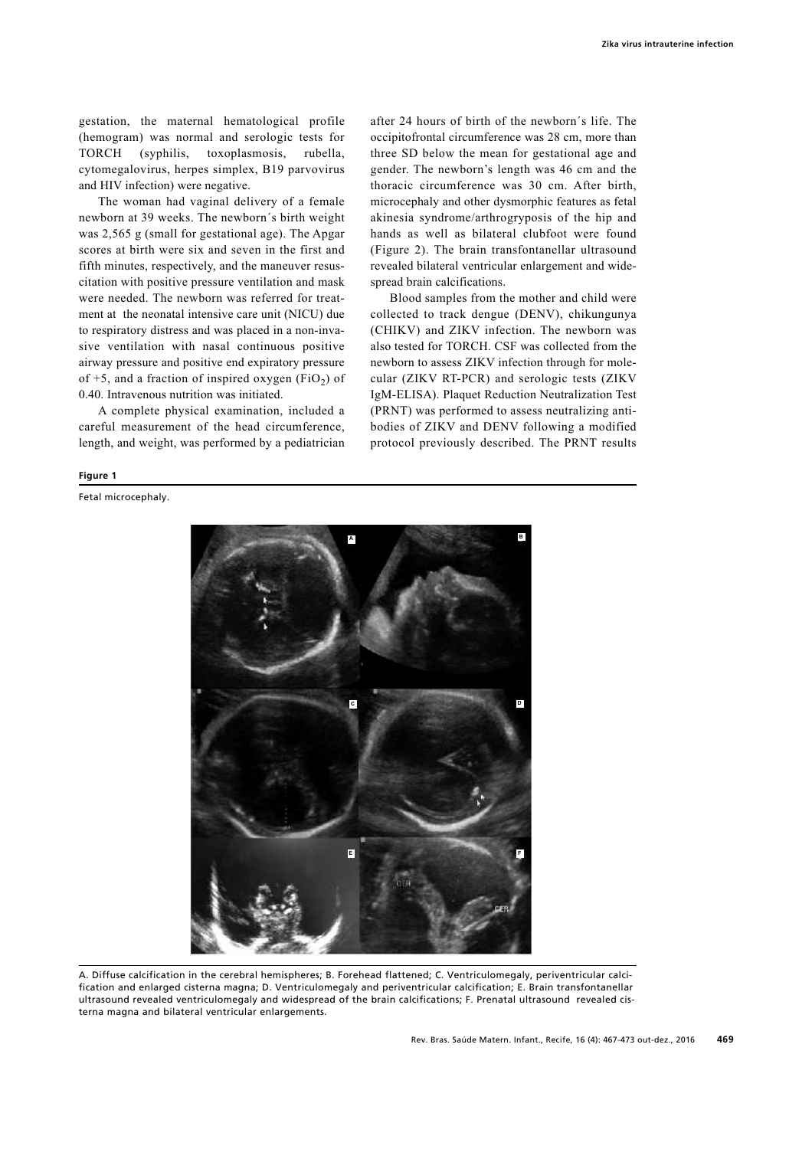gestation, the maternal hematological profile (hemogram) was normal and serologic tests for TORCH (syphilis, toxoplasmosis, rubella, cytomegalovirus, herpes simplex, B19 parvovirus and HIV infection) were negative.

The woman had vaginal delivery of a female newborn at 39 weeks. The newborn´s birth weight was 2,565 g (small for gestational age). The Apgar scores at birth were six and seven in the first and fifth minutes, respectively, and the maneuver resuscitation with positive pressure ventilation and mask were needed. The newborn was referred for treatment at the neonatal intensive care unit (NICU) due to respiratory distress and was placed in a non-invasive ventilation with nasal continuous positive airway pressure and positive end expiratory pressure of  $+5$ , and a fraction of inspired oxygen (FiO<sub>2</sub>) of 0.40. Intravenous nutrition was initiated.

A complete physical examination, included a careful measurement of the head circumference, length, and weight, was performed by a pediatrician

#### **Figure 1**

Fetal microcephaly.

after 24 hours of birth of the newborn´s life. The occipitofrontal circumference was 28 cm, more than three SD below the mean for gestational age and gender. The newborn's length was 46 cm and the thoracic circumference was 30 cm. After birth, microcephaly and other dysmorphic features as fetal akinesia syndrome/arthrogryposis of the hip and hands as well as bilateral clubfoot were found (Figure 2). The brain transfontanellar ultrasound revealed bilateral ventricular enlargement and widespread brain calcifications.

Blood samples from the mother and child were collected to track dengue (DENV), chikungunya (CHIKV) and ZIKV infection. The newborn was also tested for TORCH. CSF was collected from the newborn to assess ZIKV infection through for molecular (ZIKV RT-PCR) and serologic tests (ZIKV IgM-ELISA). Plaquet Reduction Neutralization Test (PRNT) was performed to assess neutralizing antibodies of ZIKV and DENV following a modified protocol previously described. The PRNT results



A. Diffuse calcification in the cerebral hemispheres; B. Forehead flattened; C. Ventriculomegaly, periventricular calcification and enlarged cisterna magna; D. Ventriculomegaly and periventricular calcification; E. Brain transfontanellar ultrasound revealed ventriculomegaly and widespread of the brain calcifications; F. Prenatal ultrasound revealed cisterna magna and bilateral ventricular enlargements.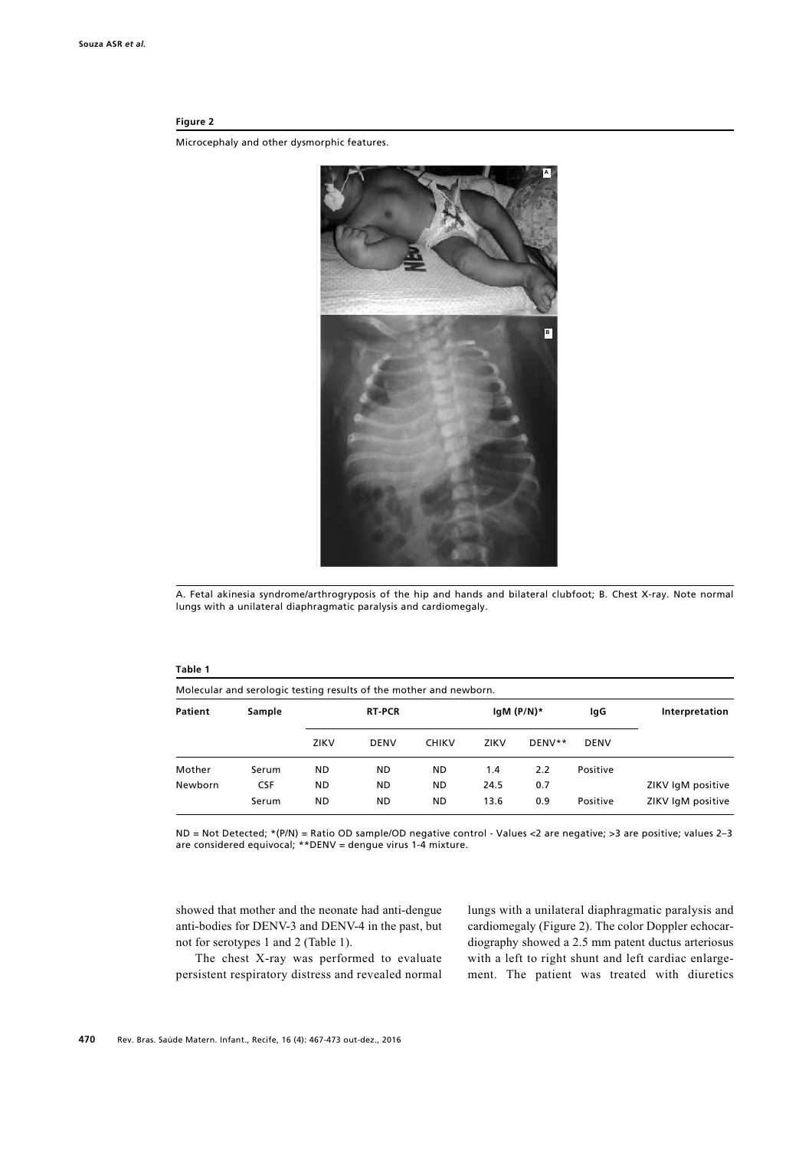#### **Figure 2**

Microcephaly and other dysmorphic features.



A. Fetal akinesia syndrome/arthrogryposis of the hip and hands and bilateral clubfoot; B. Chest X-ray. Note normal lungs with a unilateral diaphragmatic paralysis and cardiomegaly.

#### **Table 1**

| Patient | Sample     | <b>RT-PCR</b> |             |              | $lgM(P/N)*$ |        | lgG         | Interpretation    |
|---------|------------|---------------|-------------|--------------|-------------|--------|-------------|-------------------|
|         |            | ZIKV          | <b>DENV</b> | <b>CHIKV</b> | ZIKV        | DENV** | <b>DENV</b> |                   |
| Mother  | Serum      | ND            | ND          | ND.          | 1.4         | 2.2    | Positive    |                   |
| Newborn | <b>CSF</b> | ND            | ND          | <b>ND</b>    | 24.5        | 0.7    |             | ZIKV IgM positive |
|         | Serum      | ND            | ND          | ND.          | 13.6        | 0.9    | Positive    | ZIKV IgM positive |

ND = Not Detected; \*(P/N) = Ratio OD sample/OD negative control - Values <2 are negative; >3 are positive; values 2–3 are considered equivocal; \*\*DENV = dengue virus 1-4 mixture.

showed that mother and the neonate had anti-dengue anti-bodies for DENV-3 and DENV-4 in the past, but not for serotypes 1 and 2 (Table 1).

The chest X-ray was performed to evaluate persistent respiratory distress and revealed normal lungs with a unilateral diaphragmatic paralysis and cardiomegaly (Figure 2). The color Doppler echocardiography showed a 2.5 mm patent ductus arteriosus with a left to right shunt and left cardiac enlargement. The patient was treated with diuretics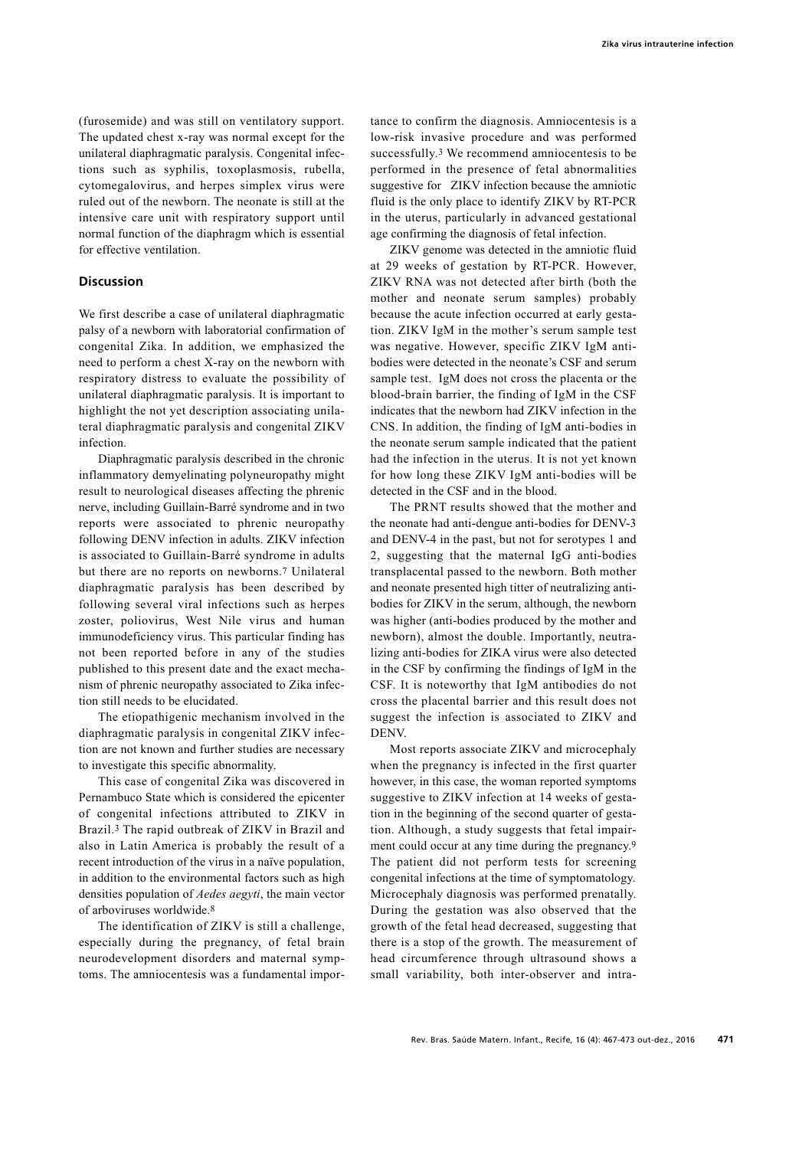(furosemide) and was still on ventilatory support. The updated chest x-ray was normal except for the unilateral diaphragmatic paralysis. Congenital infections such as syphilis, toxoplasmosis, rubella, cytomegalovirus, and herpes simplex virus were ruled out of the newborn. The neonate is still at the intensive care unit with respiratory support until normal function of the diaphragm which is essential for effective ventilation.

## **Discussion**

We first describe a case of unilateral diaphragmatic palsy of a newborn with laboratorial confirmation of congenital Zika. In addition, we emphasized the need to perform a chest X-ray on the newborn with respiratory distress to evaluate the possibility of unilateral diaphragmatic paralysis. It is important to highlight the not yet description associating unilateral diaphragmatic paralysis and congenital ZIKV infection.

Diaphragmatic paralysis described in the chronic inflammatory demyelinating polyneuropathy might result to neurological diseases affecting the phrenic nerve, including Guillain-Barré syndrome and in two reports were associated to phrenic neuropathy following DENV infection in adults. ZIKV infection is associated to Guillain-Barré syndrome in adults but there are no reports on newborns.7 Unilateral diaphragmatic paralysis has been described by following several viral infections such as herpes zoster, poliovirus, West Nile virus and human immunodeficiency virus. This particular finding has not been reported before in any of the studies published to this present date and the exact mechanism of phrenic neuropathy associated to Zika infection still needs to be elucidated.

The etiopathigenic mechanism involved in the diaphragmatic paralysis in congenital ZIKV infection are not known and further studies are necessary to investigate this specific abnormality.

This case of congenital Zika was discovered in Pernambuco State which is considered the epicenter of congenital infections attributed to ZIKV in Brazil.3 The rapid outbreak of ZIKV in Brazil and also in Latin America is probably the result of a recent introduction of the virus in a naïve population, in addition to the environmental factors such as high densities population of *Aedes aegyti*, the main vector of arboviruses worldwide.8

The identification of ZIKV is still a challenge, especially during the pregnancy, of fetal brain neurodevelopment disorders and maternal symptoms. The amniocentesis was a fundamental importance to confirm the diagnosis. Amniocentesis is a low-risk invasive procedure and was performed successfully.3 We recommend amniocentesis to be performed in the presence of fetal abnormalities suggestive for ZIKV infection because the amniotic fluid is the only place to identify ZIKV by RT-PCR in the uterus, particularly in advanced gestational age confirming the diagnosis of fetal infection.

ZIKV genome was detected in the amniotic fluid at 29 weeks of gestation by RT-PCR. However, ZIKV RNA was not detected after birth (both the mother and neonate serum samples) probably because the acute infection occurred at early gestation. ZIKV IgM in the mother's serum sample test was negative. However, specific ZIKV IgM antibodies were detected in the neonate's CSF and serum sample test. IgM does not cross the placenta or the blood-brain barrier, the finding of IgM in the CSF indicates that the newborn had ZIKV infection in the CNS. In addition, the finding of IgM anti-bodies in the neonate serum sample indicated that the patient had the infection in the uterus. It is not yet known for how long these ZIKV IgM anti-bodies will be detected in the CSF and in the blood.

The PRNT results showed that the mother and the neonate had anti-dengue anti-bodies for DENV-3 and DENV-4 in the past, but not for serotypes 1 and 2, suggesting that the maternal IgG anti-bodies transplacental passed to the newborn. Both mother and neonate presented high titter of neutralizing antibodies for ZIKV in the serum, although, the newborn was higher (anti-bodies produced by the mother and newborn), almost the double. Importantly, neutralizing anti-bodies for ZIKA virus were also detected in the CSF by confirming the findings of IgM in the CSF. It is noteworthy that IgM antibodies do not cross the placental barrier and this result does not suggest the infection is associated to ZIKV and DENV.

Most reports associate ZIKV and microcephaly when the pregnancy is infected in the first quarter however, in this case, the woman reported symptoms suggestive to ZIKV infection at 14 weeks of gestation in the beginning of the second quarter of gestation. Although, a study suggests that fetal impairment could occur at any time during the pregnancy.9 The patient did not perform tests for screening congenital infections at the time of symptomatology. Microcephaly diagnosis was performed prenatally. During the gestation was also observed that the growth of the fetal head decreased, suggesting that there is a stop of the growth. The measurement of head circumference through ultrasound shows a small variability, both inter-observer and intra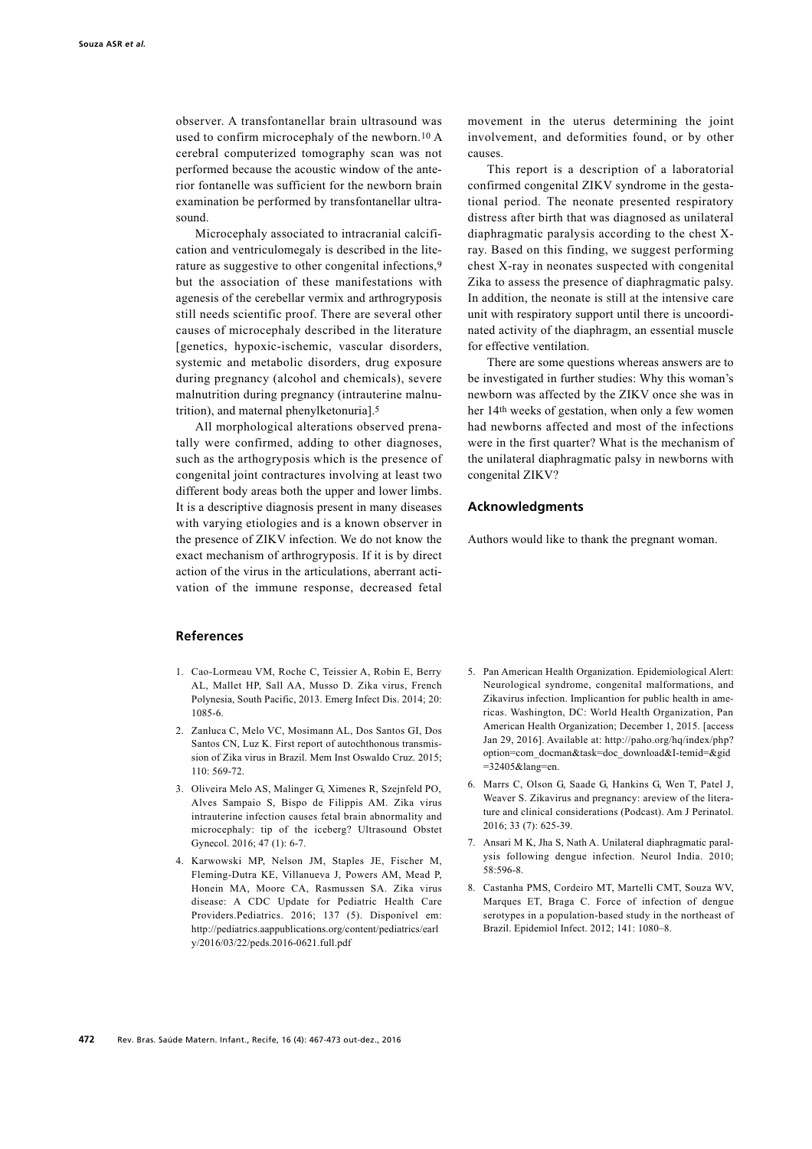observer. A transfontanellar brain ultrasound was used to confirm microcephaly of the newborn.10 A cerebral computerized tomography scan was not performed because the acoustic window of the anterior fontanelle was sufficient for the newborn brain examination be performed by transfontanellar ultrasound.

Microcephaly associated to intracranial calcification and ventriculomegaly is described in the literature as suggestive to other congenital infections,9 but the association of these manifestations with agenesis of the cerebellar vermix and arthrogryposis still needs scientific proof. There are several other causes of microcephaly described in the literature [genetics, hypoxic-ischemic, vascular disorders, systemic and metabolic disorders, drug exposure during pregnancy (alcohol and chemicals), severe malnutrition during pregnancy (intrauterine malnutrition), and maternal phenylketonuria].5

All morphological alterations observed prenatally were confirmed, adding to other diagnoses, such as the arthogryposis which is the presence of congenital joint contractures involving at least two different body areas both the upper and lower limbs. It is a descriptive diagnosis present in many diseases with varying etiologies and is a known observer in the presence of ZIKV infection. We do not know the exact mechanism of arthrogryposis. If it is by direct action of the virus in the articulations, aberrant activation of the immune response, decreased fetal

## **References**

- 1. Cao-Lormeau VM, Roche C, Teissier A, Robin E, Berry AL, Mallet HP, Sall AA, Musso D. Zika virus, French Polynesia, South Pacific, 2013. Emerg Infect Dis. 2014; 20: 1085-6.
- 2. Zanluca C, Melo VC, Mosimann AL, Dos Santos GI, Dos Santos CN, Luz K. First report of autochthonous transmission of Zika virus in Brazil. Mem Inst Oswaldo Cruz. 2015;  $110 \cdot 569 - 72$
- 3. Oliveira Melo AS, Malinger G, Ximenes R, Szejnfeld PO, Alves Sampaio S, Bispo de Filippis AM. Zika virus intrauterine infection causes fetal brain abnormality and microcephaly: tip of the iceberg? Ultrasound Obstet Gynecol. 2016; 47 (1): 6-7.
- 4. Karwowski MP, Nelson JM, Staples JE, Fischer M, Fleming-Dutra KE, Villanueva J, Powers AM, Mead P, Honein MA, Moore CA, Rasmussen SA. Zika virus disease: A CDC Update for Pediatric Health Care Providers.Pediatrics. 2016; 137 (5). Disponível em: http://pediatrics.aappublications.org/content/pediatrics/earl y/2016/03/22/peds.2016-0621.full.pdf

movement in the uterus determining the joint involvement, and deformities found, or by other causes.

This report is a description of a laboratorial confirmed congenital ZIKV syndrome in the gestational period. The neonate presented respiratory distress after birth that was diagnosed as unilateral diaphragmatic paralysis according to the chest Xray. Based on this finding, we suggest performing chest X-ray in neonates suspected with congenital Zika to assess the presence of diaphragmatic palsy. In addition, the neonate is still at the intensive care unit with respiratory support until there is uncoordinated activity of the diaphragm, an essential muscle for effective ventilation.

There are some questions whereas answers are to be investigated in further studies: Why this woman's newborn was affected by the ZIKV once she was in her 14th weeks of gestation, when only a few women had newborns affected and most of the infections were in the first quarter? What is the mechanism of the unilateral diaphragmatic palsy in newborns with congenital ZIKV?

## **Acknowledgments**

Authors would like to thank the pregnant woman.

- 5. Pan American Health Organization. Epidemiological Alert: Neurological syndrome, congenital malformations, and Zikavirus infection. Implicantion for public health in americas. Washington, DC: World Health Organization, Pan American Health Organization; December 1, 2015. [access Jan 29, 2016]. Available at: http://paho.org/hq/index/php? option=com\_docman&task=doc\_download&I-temid=&gid =32405&lang=en.
- 6. Marrs C, Olson G, Saade G, Hankins G, Wen T, Patel J, Weaver S. Zikavirus and pregnancy: areview of the literature and clinical considerations (Podcast). Am J Perinatol. 2016; 33 (7): 625-39.
- 7. Ansari M K, Jha S, Nath A. Unilateral diaphragmatic paralysis following dengue infection. Neurol India. 2010; 58:596-8.
- 8. Castanha PMS, Cordeiro MT, Martelli CMT, Souza WV, Marques ET, Braga C. Force of infection of dengue serotypes in a population-based study in the northeast of Brazil. Epidemiol Infect. 2012; 141: 1080–8.